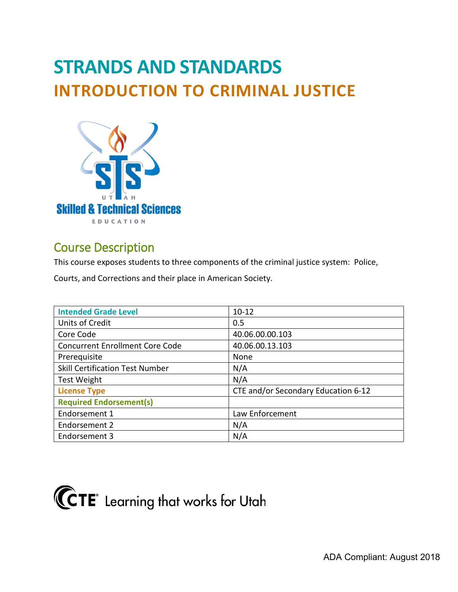# **STRANDS AND STANDARDS INTRODUCTION TO CRIMINAL JUSTICE**



# Course Description

This course exposes students to three components of the criminal justice system: Police,

Courts, and Corrections and their place in American Society.

| <b>Intended Grade Level</b>            | $10 - 12$                           |
|----------------------------------------|-------------------------------------|
| <b>Units of Credit</b>                 | 0.5                                 |
| Core Code                              | 40.06.00.00.103                     |
| <b>Concurrent Enrollment Core Code</b> | 40.06.00.13.103                     |
| Prerequisite                           | None                                |
| <b>Skill Certification Test Number</b> | N/A                                 |
| <b>Test Weight</b>                     | N/A                                 |
| <b>License Type</b>                    | CTE and/or Secondary Education 6-12 |
| <b>Required Endorsement(s)</b>         |                                     |
| Endorsement 1                          | Law Enforcement                     |
| Endorsement 2                          | N/A                                 |
| Endorsement 3                          | N/A                                 |

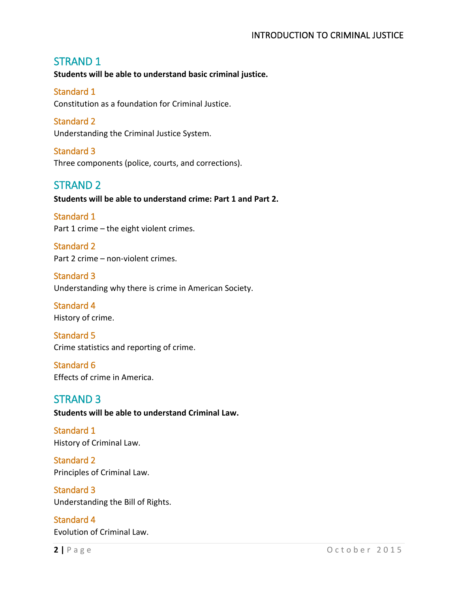# STRAND 1

**Students will be able to understand basic criminal justice.** 

#### Standard 1

Constitution as a foundation for Criminal Justice.

#### Standard 2

Understanding the Criminal Justice System.

## Standard 3

Three components (police, courts, and corrections).

## STRAND 2

**Students will be able to understand crime: Part 1 and Part 2.** 

# Standard 1

Part 1 crime – the eight violent crimes.

Standard 2 Part 2 crime – non-violent crimes.

Standard 3 Understanding why there is crime in American Society.

Standard 4 History of crime.

Standard 5 Crime statistics and reporting of crime.

#### Standard 6 Effects of crime in America.

# STRAND 3

**Students will be able to understand Criminal Law.**

# Standard 1

History of Criminal Law.

Standard 2 Principles of Criminal Law.

#### Standard 3 Understanding the Bill of Rights.

Standard 4 Evolution of Criminal Law.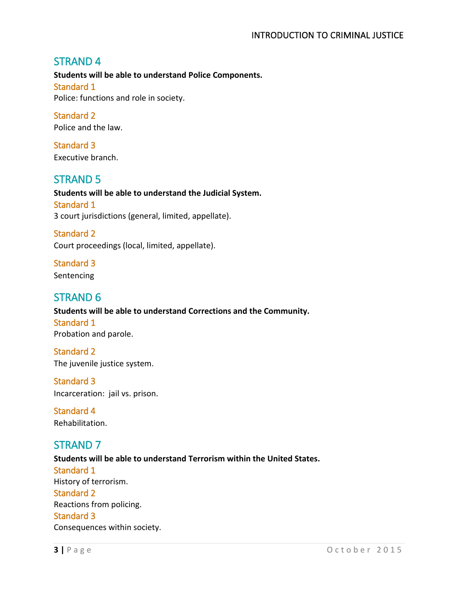#### INTRODUCTION TO CRIMINAL JUSTICE

## STRAND 4

**Students will be able to understand Police Components.** Standard 1 Police: functions and role in society.

Standard 2 Police and the law.

Standard 3 Executive branch.

# STRAND 5

**Students will be able to understand the Judicial System.** Standard 1 3 court jurisdictions (general, limited, appellate).

Standard 2 Court proceedings (local, limited, appellate).

Standard 3 **Sentencing** 

## STRAND 6

**Students will be able to understand Corrections and the Community.** Standard 1 Probation and parole.

Standard 2 The juvenile justice system.

Standard 3 Incarceration: jail vs. prison.

Standard 4 Rehabilitation.

# STRAND 7

**Students will be able to understand Terrorism within the United States.** Standard 1 History of terrorism. Standard 2 Reactions from policing. Standard 3 Consequences within society.